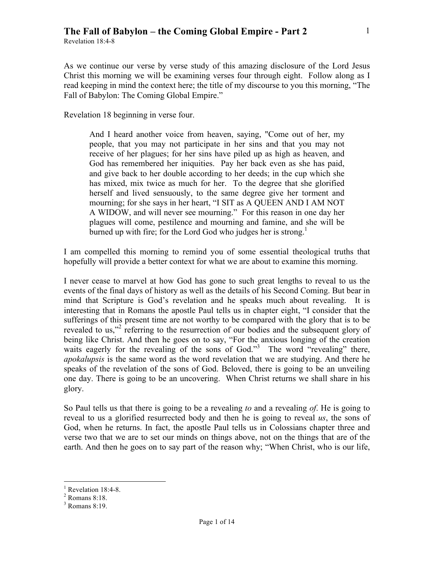Revelation 18:4-8

As we continue our verse by verse study of this amazing disclosure of the Lord Jesus Christ this morning we will be examining verses four through eight. Follow along as I read keeping in mind the context here; the title of my discourse to you this morning, "The Fall of Babylon: The Coming Global Empire."

Revelation 18 beginning in verse four.

And I heard another voice from heaven, saying, "Come out of her, my people, that you may not participate in her sins and that you may not receive of her plagues; for her sins have piled up as high as heaven, and God has remembered her iniquities. Pay her back even as she has paid, and give back to her double according to her deeds; in the cup which she has mixed, mix twice as much for her. To the degree that she glorified herself and lived sensuously, to the same degree give her torment and mourning; for she says in her heart, "I SIT as A QUEEN AND I AM NOT A WIDOW, and will never see mourning." For this reason in one day her plagues will come, pestilence and mourning and famine, and she will be burned up with fire; for the Lord God who judges her is strong.<sup>1</sup>

I am compelled this morning to remind you of some essential theological truths that hopefully will provide a better context for what we are about to examine this morning.

I never cease to marvel at how God has gone to such great lengths to reveal to us the events of the final days of history as well as the details of his Second Coming. But bear in mind that Scripture is God's revelation and he speaks much about revealing. It is interesting that in Romans the apostle Paul tells us in chapter eight, "I consider that the sufferings of this present time are not worthy to be compared with the glory that is to be revealed to us,"<sup>2</sup> referring to the resurrection of our bodies and the subsequent glory of being like Christ. And then he goes on to say, "For the anxious longing of the creation waits eagerly for the revealing of the sons of God."<sup>3</sup> The word "revealing" there, *apokalupsis* is the same word as the word revelation that we are studying. And there he speaks of the revelation of the sons of God. Beloved, there is going to be an unveiling one day. There is going to be an uncovering. When Christ returns we shall share in his glory.

So Paul tells us that there is going to be a revealing *to* and a revealing *of*. He is going to reveal to us a glorified resurrected body and then he is going to reveal *us*, the sons of God, when he returns. In fact, the apostle Paul tells us in Colossians chapter three and verse two that we are to set our minds on things above, not on the things that are of the earth. And then he goes on to say part of the reason why; "When Christ, who is our life,

 $\frac{1}{1}$  $<sup>1</sup>$  Revelation 18:4-8.</sup>

Romans 8:18.

<sup>3</sup> Romans 8:19.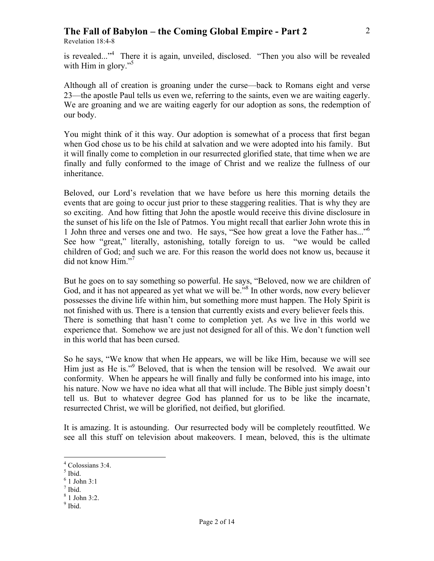Revelation 18:4-8

is revealed..."4 There it is again, unveiled, disclosed. "Then you also will be revealed with Him in glory."<sup>5</sup>

Although all of creation is groaning under the curse—back to Romans eight and verse 23—the apostle Paul tells us even we, referring to the saints, even we are waiting eagerly. We are groaning and we are waiting eagerly for our adoption as sons, the redemption of our body.

You might think of it this way. Our adoption is somewhat of a process that first began when God chose us to be his child at salvation and we were adopted into his family. But it will finally come to completion in our resurrected glorified state, that time when we are finally and fully conformed to the image of Christ and we realize the fullness of our inheritance.

Beloved, our Lord's revelation that we have before us here this morning details the events that are going to occur just prior to these staggering realities. That is why they are so exciting. And how fitting that John the apostle would receive this divine disclosure in the sunset of his life on the Isle of Patmos. You might recall that earlier John wrote this in 1 John three and verses one and two. He says, "See how great a love the Father has..."6 See how "great," literally, astonishing, totally foreign to us. "we would be called children of God; and such we are. For this reason the world does not know us, because it did not know Him."<sup>7</sup>

But he goes on to say something so powerful. He says, "Beloved, now we are children of God, and it has not appeared as yet what we will be."<sup>8</sup> In other words, now every believer possesses the divine life within him, but something more must happen. The Holy Spirit is not finished with us. There is a tension that currently exists and every believer feels this. There is something that hasn't come to completion yet. As we live in this world we experience that. Somehow we are just not designed for all of this. We don't function well in this world that has been cursed.

So he says, "We know that when He appears, we will be like Him, because we will see Him just as He is."<sup>9</sup> Beloved, that is when the tension will be resolved. We await our conformity. When he appears he will finally and fully be conformed into his image, into his nature. Now we have no idea what all that will include. The Bible just simply doesn't tell us. But to whatever degree God has planned for us to be like the incarnate, resurrected Christ, we will be glorified, not deified, but glorified.

It is amazing. It is astounding. Our resurrected body will be completely reoutfitted. We see all this stuff on television about makeovers. I mean, beloved, this is the ultimate

 $\frac{1}{4}$  $4^4$  Colossians 3:4.

 $<sup>5</sup>$  Ibid.</sup>

<sup>6</sup> 1 John 3:1

<sup>7</sup> Ibid.

<sup>8</sup> 1 John 3:2.

<sup>&</sup>lt;sup>9</sup> Ibid.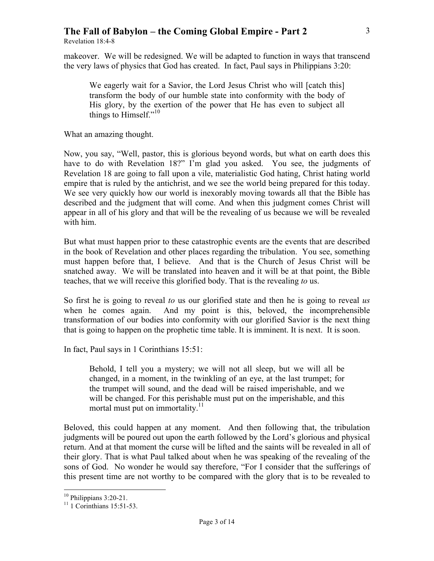Revelation 18:4-8

makeover. We will be redesigned. We will be adapted to function in ways that transcend the very laws of physics that God has created. In fact, Paul says in Philippians 3:20:

We eagerly wait for a Savior, the Lord Jesus Christ who will [catch this] transform the body of our humble state into conformity with the body of His glory, by the exertion of the power that He has even to subject all things to Himself."<sup>10</sup>

What an amazing thought.

Now, you say, "Well, pastor, this is glorious beyond words, but what on earth does this have to do with Revelation 18?" I'm glad you asked. You see, the judgments of Revelation 18 are going to fall upon a vile, materialistic God hating, Christ hating world empire that is ruled by the antichrist, and we see the world being prepared for this today. We see very quickly how our world is inexorably moving towards all that the Bible has described and the judgment that will come. And when this judgment comes Christ will appear in all of his glory and that will be the revealing of us because we will be revealed with him.

But what must happen prior to these catastrophic events are the events that are described in the book of Revelation and other places regarding the tribulation. You see, something must happen before that, I believe. And that is the Church of Jesus Christ will be snatched away. We will be translated into heaven and it will be at that point, the Bible teaches, that we will receive this glorified body. That is the revealing *to* us.

So first he is going to reveal *to* us our glorified state and then he is going to reveal *us* when he comes again. And my point is this, beloved, the incomprehensible transformation of our bodies into conformity with our glorified Savior is the next thing that is going to happen on the prophetic time table. It is imminent. It is next. It is soon.

In fact, Paul says in 1 Corinthians 15:51:

Behold, I tell you a mystery; we will not all sleep, but we will all be changed, in a moment, in the twinkling of an eye, at the last trumpet; for the trumpet will sound, and the dead will be raised imperishable, and we will be changed. For this perishable must put on the imperishable, and this mortal must put on immortality. $11$ 

Beloved, this could happen at any moment. And then following that, the tribulation judgments will be poured out upon the earth followed by the Lord's glorious and physical return. And at that moment the curse will be lifted and the saints will be revealed in all of their glory. That is what Paul talked about when he was speaking of the revealing of the sons of God. No wonder he would say therefore, "For I consider that the sufferings of this present time are not worthy to be compared with the glory that is to be revealed to

<sup>&</sup>lt;sup>10</sup> Philippians 3:20-21.<br><sup>11</sup> 1 Corinthians 15:51-53.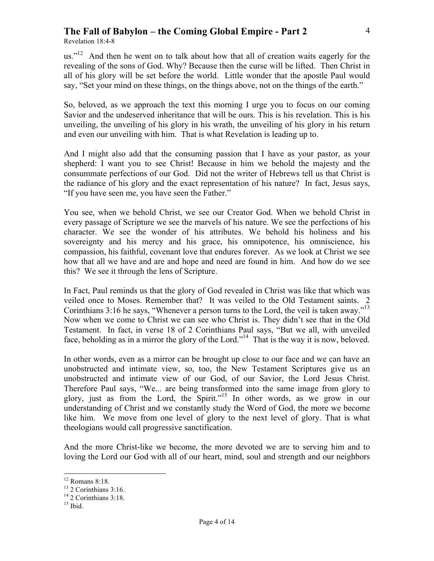Revelation 18:4-8

us."<sup>12</sup> And then he went on to talk about how that all of creation waits eagerly for the revealing of the sons of God. Why? Because then the curse will be lifted. Then Christ in all of his glory will be set before the world. Little wonder that the apostle Paul would say, "Set your mind on these things, on the things above, not on the things of the earth."

So, beloved, as we approach the text this morning I urge you to focus on our coming Savior and the undeserved inheritance that will be ours. This is his revelation. This is his unveiling, the unveiling of his glory in his wrath, the unveiling of his glory in his return and even our unveiling with him. That is what Revelation is leading up to.

And I might also add that the consuming passion that I have as your pastor, as your shepherd: I want you to see Christ! Because in him we behold the majesty and the consummate perfections of our God. Did not the writer of Hebrews tell us that Christ is the radiance of his glory and the exact representation of his nature? In fact, Jesus says, "If you have seen me, you have seen the Father."

You see, when we behold Christ, we see our Creator God. When we behold Christ in every passage of Scripture we see the marvels of his nature. We see the perfections of his character. We see the wonder of his attributes. We behold his holiness and his sovereignty and his mercy and his grace, his omnipotence, his omniscience, his compassion, his faithful, covenant love that endures forever. As we look at Christ we see how that all we have and are and hope and need are found in him. And how do we see this? We see it through the lens of Scripture.

In Fact, Paul reminds us that the glory of God revealed in Christ was like that which was veiled once to Moses. Remember that? It was veiled to the Old Testament saints. 2 Corinthians 3:16 he says, "Whenever a person turns to the Lord, the veil is taken away."<sup>13</sup> Now when we come to Christ we can see who Christ is. They didn't see that in the Old Testament. In fact, in verse 18 of 2 Corinthians Paul says, "But we all, with unveiled face, beholding as in a mirror the glory of the Lord."<sup>14</sup> That is the way it is now, beloved.

In other words, even as a mirror can be brought up close to our face and we can have an unobstructed and intimate view, so, too, the New Testament Scriptures give us an unobstructed and intimate view of our God, of our Savior, the Lord Jesus Christ. Therefore Paul says, "We... are being transformed into the same image from glory to glory, just as from the Lord, the Spirit."15 In other words, as we grow in our understanding of Christ and we constantly study the Word of God, the more we become like him. We move from one level of glory to the next level of glory. That is what theologians would call progressive sanctification.

And the more Christ-like we become, the more devoted we are to serving him and to loving the Lord our God with all of our heart, mind, soul and strength and our neighbors

 $12$  Romans 8:18.

<sup>&</sup>lt;sup>13</sup> 2 Corinthians 3:16.

<sup>&</sup>lt;sup>14</sup> 2 Corinthians 3:18.

 $15$  Ibid.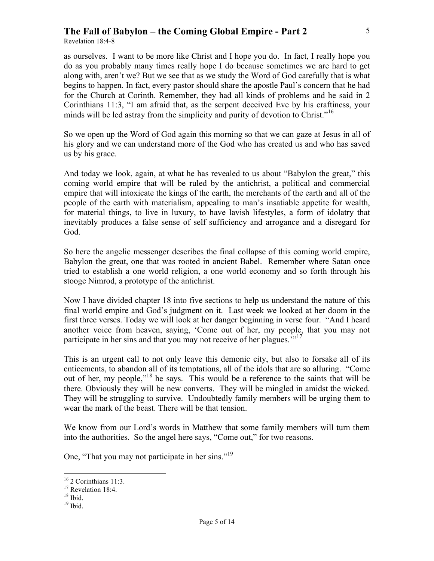Revelation 18:4-8

as ourselves. I want to be more like Christ and I hope you do. In fact, I really hope you do as you probably many times really hope I do because sometimes we are hard to get along with, aren't we? But we see that as we study the Word of God carefully that is what begins to happen. In fact, every pastor should share the apostle Paul's concern that he had for the Church at Corinth. Remember, they had all kinds of problems and he said in 2 Corinthians 11:3, "I am afraid that, as the serpent deceived Eve by his craftiness, your minds will be led astray from the simplicity and purity of devotion to Christ."<sup>16</sup>

So we open up the Word of God again this morning so that we can gaze at Jesus in all of his glory and we can understand more of the God who has created us and who has saved us by his grace.

And today we look, again, at what he has revealed to us about "Babylon the great," this coming world empire that will be ruled by the antichrist, a political and commercial empire that will intoxicate the kings of the earth, the merchants of the earth and all of the people of the earth with materialism, appealing to man's insatiable appetite for wealth, for material things, to live in luxury, to have lavish lifestyles, a form of idolatry that inevitably produces a false sense of self sufficiency and arrogance and a disregard for God.

So here the angelic messenger describes the final collapse of this coming world empire, Babylon the great, one that was rooted in ancient Babel. Remember where Satan once tried to establish a one world religion, a one world economy and so forth through his stooge Nimrod, a prototype of the antichrist.

Now I have divided chapter 18 into five sections to help us understand the nature of this final world empire and God's judgment on it. Last week we looked at her doom in the first three verses. Today we will look at her danger beginning in verse four. "And I heard another voice from heaven, saying, 'Come out of her, my people, that you may not participate in her sins and that you may not receive of her plagues."<sup>17</sup>

This is an urgent call to not only leave this demonic city, but also to forsake all of its enticements, to abandon all of its temptations, all of the idols that are so alluring. "Come out of her, my people,"18 he says. This would be a reference to the saints that will be there. Obviously they will be new converts. They will be mingled in amidst the wicked. They will be struggling to survive. Undoubtedly family members will be urging them to wear the mark of the beast. There will be that tension.

We know from our Lord's words in Matthew that some family members will turn them into the authorities. So the angel here says, "Come out," for two reasons.

One, "That you may not participate in her sins."<sup>19</sup>

 $19$  Ibid.

 $16^{16}$  2 Corinthians 11:3.<br><sup>17</sup> Revelation 18:4.

 $18$  Ibid.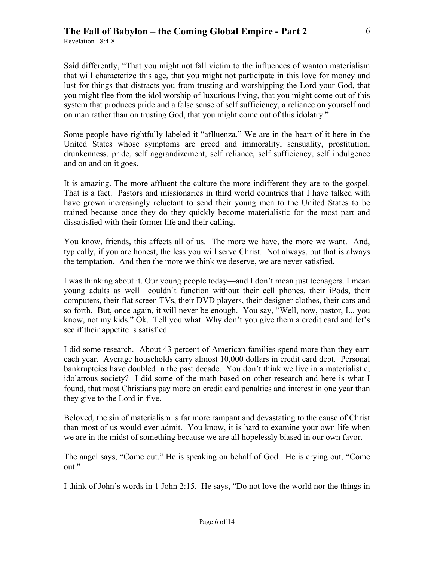Revelation 18:4-8

Said differently, "That you might not fall victim to the influences of wanton materialism that will characterize this age, that you might not participate in this love for money and lust for things that distracts you from trusting and worshipping the Lord your God, that you might flee from the idol worship of luxurious living, that you might come out of this system that produces pride and a false sense of self sufficiency, a reliance on yourself and on man rather than on trusting God, that you might come out of this idolatry."

Some people have rightfully labeled it "aflluenza." We are in the heart of it here in the United States whose symptoms are greed and immorality, sensuality, prostitution, drunkenness, pride, self aggrandizement, self reliance, self sufficiency, self indulgence and on and on it goes.

It is amazing. The more affluent the culture the more indifferent they are to the gospel. That is a fact. Pastors and missionaries in third world countries that I have talked with have grown increasingly reluctant to send their young men to the United States to be trained because once they do they quickly become materialistic for the most part and dissatisfied with their former life and their calling.

You know, friends, this affects all of us. The more we have, the more we want. And, typically, if you are honest, the less you will serve Christ. Not always, but that is always the temptation. And then the more we think we deserve, we are never satisfied.

I was thinking about it. Our young people today—and I don't mean just teenagers. I mean young adults as well—couldn't function without their cell phones, their iPods, their computers, their flat screen TVs, their DVD players, their designer clothes, their cars and so forth. But, once again, it will never be enough. You say, "Well, now, pastor, I... you know, not my kids." Ok. Tell you what. Why don't you give them a credit card and let's see if their appetite is satisfied.

I did some research. About 43 percent of American families spend more than they earn each year. Average households carry almost 10,000 dollars in credit card debt. Personal bankruptcies have doubled in the past decade. You don't think we live in a materialistic, idolatrous society? I did some of the math based on other research and here is what I found, that most Christians pay more on credit card penalties and interest in one year than they give to the Lord in five.

Beloved, the sin of materialism is far more rampant and devastating to the cause of Christ than most of us would ever admit. You know, it is hard to examine your own life when we are in the midst of something because we are all hopelessly biased in our own favor.

The angel says, "Come out." He is speaking on behalf of God. He is crying out, "Come out."

I think of John's words in 1 John 2:15. He says, "Do not love the world nor the things in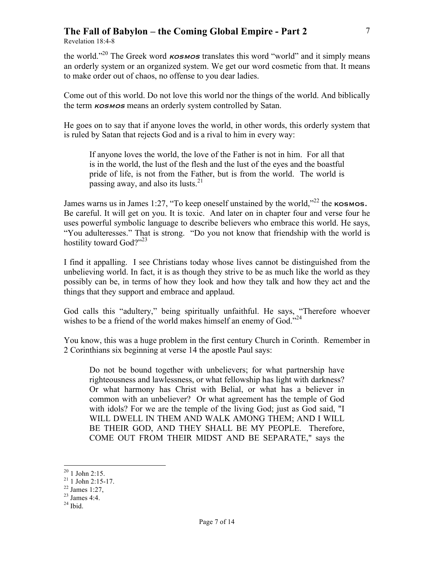Revelation 18:4-8

the world."<sup>20</sup> The Greek word  $\kappa$ osmos translates this word "world" and it simply means an orderly system or an organized system. We get our word cosmetic from that. It means to make order out of chaos, no offense to you dear ladies.

Come out of this world. Do not love this world nor the things of the world. And biblically the term **KOSMOS** means an orderly system controlled by Satan.

He goes on to say that if anyone loves the world, in other words, this orderly system that is ruled by Satan that rejects God and is a rival to him in every way:

If anyone loves the world, the love of the Father is not in him. For all that is in the world, the lust of the flesh and the lust of the eyes and the boastful pride of life, is not from the Father, but is from the world. The world is passing away, and also its lusts.<sup>21</sup>

James warns us in James 1:27, "To keep oneself unstained by the world,"<sup>22</sup> the **KOSMOS.** Be careful. It will get on you. It is toxic. And later on in chapter four and verse four he uses powerful symbolic language to describe believers who embrace this world. He says, "You adulteresses." That is strong. "Do you not know that friendship with the world is hostility toward God?"<sup>23</sup>

I find it appalling. I see Christians today whose lives cannot be distinguished from the unbelieving world. In fact, it is as though they strive to be as much like the world as they possibly can be, in terms of how they look and how they talk and how they act and the things that they support and embrace and applaud.

God calls this "adultery," being spiritually unfaithful. He says, "Therefore whoever wishes to be a friend of the world makes himself an enemy of  $God.^{24}$ 

You know, this was a huge problem in the first century Church in Corinth. Remember in 2 Corinthians six beginning at verse 14 the apostle Paul says:

Do not be bound together with unbelievers; for what partnership have righteousness and lawlessness, or what fellowship has light with darkness? Or what harmony has Christ with Belial, or what has a believer in common with an unbeliever? Or what agreement has the temple of God with idols? For we are the temple of the living God; just as God said, "I WILL DWELL IN THEM AND WALK AMONG THEM; AND I WILL BE THEIR GOD, AND THEY SHALL BE MY PEOPLE. Therefore, COME OUT FROM THEIR MIDST AND BE SEPARATE," says the

 $^{20}$  1 John 2:15.<br><sup>21</sup> 1 John 2:15-17.  $^{21}$  1 John 2:15-17.<br><sup>22</sup> James 1:27,

 $^{23}$  James 4:4.

 $24$  Ibid.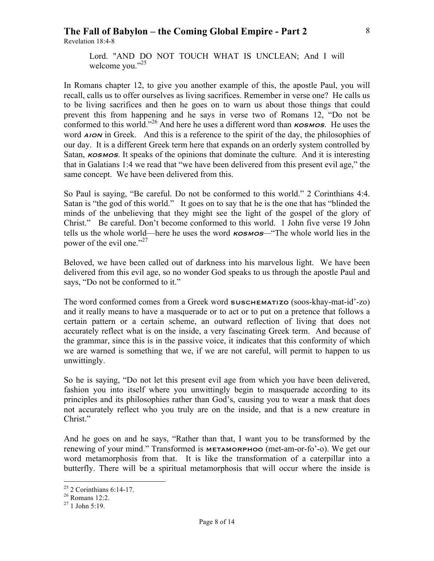Revelation 18:4-8

Lord. "AND DO NOT TOUCH WHAT IS UNCLEAN; And I will welcome you."<sup>25</sup>

In Romans chapter 12, to give you another example of this, the apostle Paul, you will recall, calls us to offer ourselves as living sacrifices. Remember in verse one? He calls us to be living sacrifices and then he goes on to warn us about those things that could prevent this from happening and he says in verse two of Romans 12, "Do not be conformed to this world."<sup>26</sup> And here he uses a different word than  $\kappa$ osmos. He uses the word *AION* in Greek. And this is a reference to the spirit of the day, the philosophies of our day. It is a different Greek term here that expands on an orderly system controlled by Satan,  $\kappa$ osmos. It speaks of the opinions that dominate the culture. And it is interesting that in Galatians 1:4 we read that "we have been delivered from this present evil age," the same concept. We have been delivered from this.

So Paul is saying, "Be careful. Do not be conformed to this world." 2 Corinthians 4:4. Satan is "the god of this world." It goes on to say that he is the one that has "blinded the minds of the unbelieving that they might see the light of the gospel of the glory of Christ." Be careful. Don't become conformed to this world. 1 John five verse 19 John tells us the whole world—here he uses the word kosmos*—*"The whole world lies in the power of the evil one."<sup>27</sup>

Beloved, we have been called out of darkness into his marvelous light. We have been delivered from this evil age, so no wonder God speaks to us through the apostle Paul and says, "Do not be conformed to it."

The word conformed comes from a Greek word suschematizo (soos-khay-mat-id'-zo) and it really means to have a masquerade or to act or to put on a pretence that follows a certain pattern or a certain scheme, an outward reflection of living that does not accurately reflect what is on the inside, a very fascinating Greek term. And because of the grammar, since this is in the passive voice, it indicates that this conformity of which we are warned is something that we, if we are not careful, will permit to happen to us unwittingly.

So he is saying, "Do not let this present evil age from which you have been delivered, fashion you into itself where you unwittingly begin to masquerade according to its principles and its philosophies rather than God's, causing you to wear a mask that does not accurately reflect who you truly are on the inside, and that is a new creature in Christ."

And he goes on and he says, "Rather than that, I want you to be transformed by the renewing of your mind." Transformed is **METAMORPHOO** (met-am-or-fo'-o). We get our word metamorphosis from that. It is like the transformation of a caterpillar into a butterfly. There will be a spiritual metamorphosis that will occur where the inside is

 $^{25}$  2 Corinthians 6:14-17.<br><sup>26</sup> Romans 12:2.

 $^{27}$  1 John 5:19.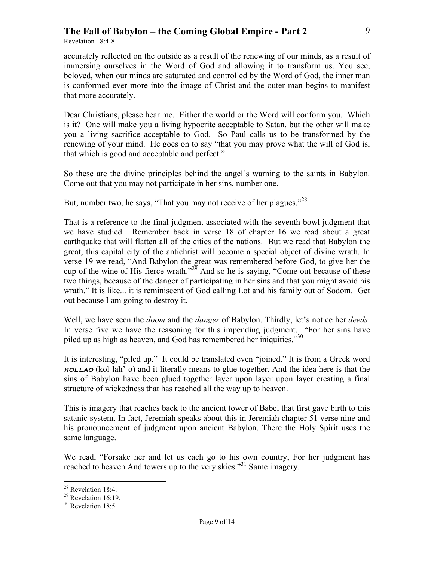Revelation 18:4-8

accurately reflected on the outside as a result of the renewing of our minds, as a result of immersing ourselves in the Word of God and allowing it to transform us. You see, beloved, when our minds are saturated and controlled by the Word of God, the inner man is conformed ever more into the image of Christ and the outer man begins to manifest that more accurately.

Dear Christians, please hear me. Either the world or the Word will conform you. Which is it? One will make you a living hypocrite acceptable to Satan, but the other will make you a living sacrifice acceptable to God. So Paul calls us to be transformed by the renewing of your mind. He goes on to say "that you may prove what the will of God is, that which is good and acceptable and perfect."

So these are the divine principles behind the angel's warning to the saints in Babylon. Come out that you may not participate in her sins, number one.

But, number two, he says, "That you may not receive of her plagues."<sup>28</sup>

That is a reference to the final judgment associated with the seventh bowl judgment that we have studied. Remember back in verse 18 of chapter 16 we read about a great earthquake that will flatten all of the cities of the nations. But we read that Babylon the great, this capital city of the antichrist will become a special object of divine wrath. In verse 19 we read, "And Babylon the great was remembered before God, to give her the cup of the wine of His fierce wrath."<sup>29</sup> And so he is saying, "Come out because of these two things, because of the danger of participating in her sins and that you might avoid his wrath." It is like... it is reminiscent of God calling Lot and his family out of Sodom. Get out because I am going to destroy it.

Well, we have seen the *doom* and the *danger* of Babylon. Thirdly, let's notice her *deeds*. In verse five we have the reasoning for this impending judgment. "For her sins have piled up as high as heaven, and God has remembered her iniquities.<sup>330</sup>

It is interesting, "piled up." It could be translated even "joined." It is from a Greek word  $k$ ollah'-o) and it literally means to glue together. And the idea here is that the sins of Babylon have been glued together layer upon layer upon layer creating a final structure of wickedness that has reached all the way up to heaven.

This is imagery that reaches back to the ancient tower of Babel that first gave birth to this satanic system. In fact, Jeremiah speaks about this in Jeremiah chapter 51 verse nine and his pronouncement of judgment upon ancient Babylon. There the Holy Spirit uses the same language.

We read, "Forsake her and let us each go to his own country, For her judgment has reached to heaven And towers up to the very skies."<sup>31</sup> Same imagery.

<sup>&</sup>lt;sup>28</sup> Revelation 18:4.

<sup>&</sup>lt;sup>29</sup> Revelation 16:19.

 $30$  Revelation 18:5.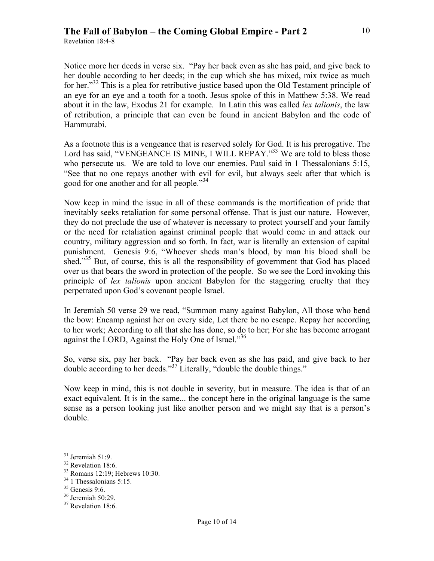Revelation 18:4-8

Notice more her deeds in verse six. "Pay her back even as she has paid, and give back to her double according to her deeds; in the cup which she has mixed, mix twice as much for her."<sup>32</sup> This is a plea for retributive justice based upon the Old Testament principle of an eye for an eye and a tooth for a tooth. Jesus spoke of this in Matthew 5:38. We read about it in the law, Exodus 21 for example. In Latin this was called *lex talionis*, the law of retribution, a principle that can even be found in ancient Babylon and the code of Hammurabi.

As a footnote this is a vengeance that is reserved solely for God. It is his prerogative. The Lord has said, "VENGEANCE IS MINE, I WILL REPAY."<sup>33</sup> We are told to bless those who persecute us. We are told to love our enemies. Paul said in 1 Thessalonians 5:15, "See that no one repays another with evil for evil, but always seek after that which is good for one another and for all people."<sup>34</sup>

Now keep in mind the issue in all of these commands is the mortification of pride that inevitably seeks retaliation for some personal offense. That is just our nature. However, they do not preclude the use of whatever is necessary to protect yourself and your family or the need for retaliation against criminal people that would come in and attack our country, military aggression and so forth. In fact, war is literally an extension of capital punishment. Genesis 9:6, "Whoever sheds man's blood, by man his blood shall be shed."<sup>35</sup> But, of course, this is all the responsibility of government that God has placed over us that bears the sword in protection of the people. So we see the Lord invoking this principle of *lex talionis* upon ancient Babylon for the staggering cruelty that they perpetrated upon God's covenant people Israel.

In Jeremiah 50 verse 29 we read, "Summon many against Babylon, All those who bend the bow: Encamp against her on every side, Let there be no escape. Repay her according to her work; According to all that she has done, so do to her; For she has become arrogant against the LORD, Against the Holy One of Israel.<sup>356</sup>

So, verse six, pay her back. "Pay her back even as she has paid, and give back to her double according to her deeds."37 Literally, "double the double things."

Now keep in mind, this is not double in severity, but in measure. The idea is that of an exact equivalent. It is in the same... the concept here in the original language is the same sense as a person looking just like another person and we might say that is a person's double.

<sup>&</sup>lt;sup>31</sup> Jeremiah 51:9.<br><sup>32</sup> Revelation 18:6.

<sup>33</sup> Romans 12:19; Hebrews 10:30.

 $34$  1 Thessalonians 5:15.

 $35$  Genesis 9:6.

<sup>36</sup> Jeremiah 50:29.

<sup>&</sup>lt;sup>37</sup> Revelation 18:6.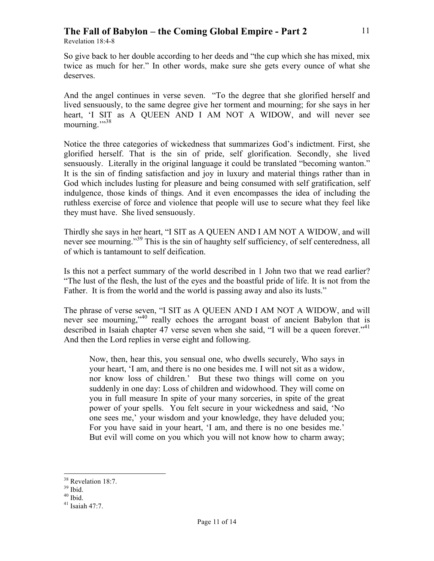Revelation 18:4-8

So give back to her double according to her deeds and "the cup which she has mixed, mix twice as much for her." In other words, make sure she gets every ounce of what she deserves.

And the angel continues in verse seven. "To the degree that she glorified herself and lived sensuously, to the same degree give her torment and mourning; for she says in her heart, 'I SIT as A QUEEN AND I AM NOT A WIDOW, and will never see mourning."<sup>38</sup>

Notice the three categories of wickedness that summarizes God's indictment. First, she glorified herself. That is the sin of pride, self glorification. Secondly, she lived sensuously. Literally in the original language it could be translated "becoming wanton." It is the sin of finding satisfaction and joy in luxury and material things rather than in God which includes lusting for pleasure and being consumed with self gratification, self indulgence, those kinds of things. And it even encompasses the idea of including the ruthless exercise of force and violence that people will use to secure what they feel like they must have. She lived sensuously.

Thirdly she says in her heart, "I SIT as A QUEEN AND I AM NOT A WIDOW, and will never see mourning."<sup>39</sup> This is the sin of haughty self sufficiency, of self centeredness, all of which is tantamount to self deification.

Is this not a perfect summary of the world described in 1 John two that we read earlier? "The lust of the flesh, the lust of the eyes and the boastful pride of life. It is not from the Father. It is from the world and the world is passing away and also its lusts."

The phrase of verse seven, "I SIT as A QUEEN AND I AM NOT A WIDOW, and will never see mourning,<sup>340</sup> really echoes the arrogant boast of ancient Babylon that is described in Isaiah chapter 47 verse seven when she said, "I will be a queen forever."<sup>41</sup> And then the Lord replies in verse eight and following.

Now, then, hear this, you sensual one, who dwells securely, Who says in your heart, 'I am, and there is no one besides me. I will not sit as a widow, nor know loss of children.' But these two things will come on you suddenly in one day: Loss of children and widowhood. They will come on you in full measure In spite of your many sorceries, in spite of the great power of your spells. You felt secure in your wickedness and said, 'No one sees me,' your wisdom and your knowledge, they have deluded you; For you have said in your heart, 'I am, and there is no one besides me.' But evil will come on you which you will not know how to charm away; 11

<sup>&</sup>lt;sup>38</sup> Revelation 18:7.

 $39$  Ibid.

 $40$  Ibid.

 $41$  Isaiah 47:7.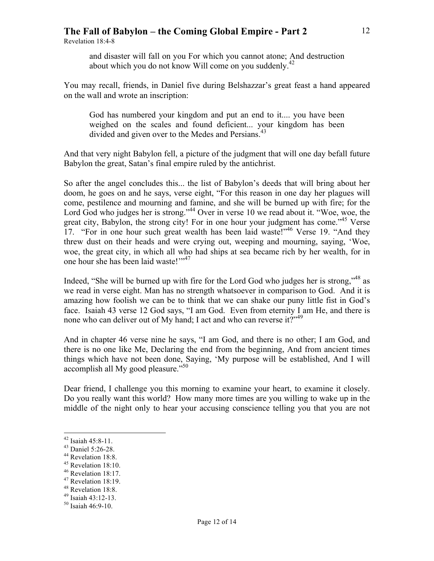Revelation 18:4-8

and disaster will fall on you For which you cannot atone; And destruction about which you do not know Will come on you suddenly.<sup>42</sup>

You may recall, friends, in Daniel five during Belshazzar's great feast a hand appeared on the wall and wrote an inscription:

God has numbered your kingdom and put an end to it.... you have been weighed on the scales and found deficient... your kingdom has been divided and given over to the Medes and Persians.<sup>43</sup>

And that very night Babylon fell, a picture of the judgment that will one day befall future Babylon the great, Satan's final empire ruled by the antichrist.

So after the angel concludes this... the list of Babylon's deeds that will bring about her doom, he goes on and he says, verse eight, "For this reason in one day her plagues will come, pestilence and mourning and famine, and she will be burned up with fire; for the Lord God who judges her is strong."<sup>44</sup> Over in verse 10 we read about it. "Woe, woe, the great city, Babylon, the strong city! For in one hour your judgment has come."<sup>45</sup> Verse 17. "For in one hour such great wealth has been laid waste!"46 Verse 19. "And they threw dust on their heads and were crying out, weeping and mourning, saying, 'Woe, woe, the great city, in which all who had ships at sea became rich by her wealth, for in one hour she has been laid waste!"<sup>47</sup>

Indeed, "She will be burned up with fire for the Lord God who judges her is strong,"48 as we read in verse eight. Man has no strength whatsoever in comparison to God. And it is amazing how foolish we can be to think that we can shake our puny little fist in God's face. Isaiah 43 verse 12 God says, "I am God. Even from eternity I am He, and there is none who can deliver out of My hand; I act and who can reverse it?"<sup>49</sup>

And in chapter 46 verse nine he says, "I am God, and there is no other; I am God, and there is no one like Me, Declaring the end from the beginning, And from ancient times things which have not been done, Saying, 'My purpose will be established, And I will accomplish all My good pleasure."<sup>50</sup>

Dear friend, I challenge you this morning to examine your heart, to examine it closely. Do you really want this world? How many more times are you willing to wake up in the middle of the night only to hear your accusing conscience telling you that you are not

12

<sup>&</sup>lt;sup>42</sup> Isaiah 45:8-11.<br><sup>43</sup> Daniel 5:26-28.<br><sup>44</sup> Revelation 18:8.<br><sup>45</sup> Revelation 18:10.

<sup>&</sup>lt;sup>46</sup> Revelation 18:17.

<sup>47</sup> Revelation 18:19.

<sup>48</sup> Revelation 18:8.

<sup>49</sup> Isaiah 43:12-13. 50 Isaiah 46:9-10.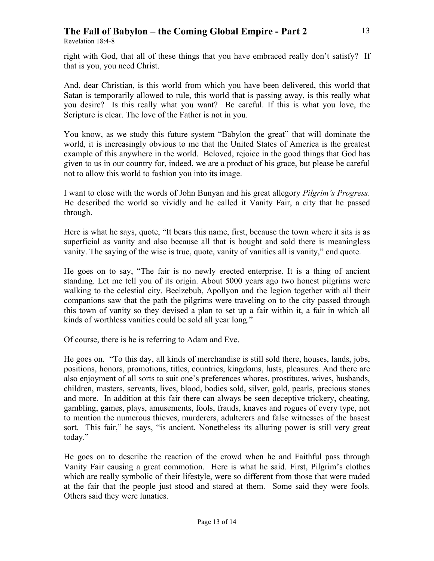Revelation 18:4-8

right with God, that all of these things that you have embraced really don't satisfy? If that is you, you need Christ.

And, dear Christian, is this world from which you have been delivered, this world that Satan is temporarily allowed to rule, this world that is passing away, is this really what you desire? Is this really what you want? Be careful. If this is what you love, the Scripture is clear. The love of the Father is not in you.

You know, as we study this future system "Babylon the great" that will dominate the world, it is increasingly obvious to me that the United States of America is the greatest example of this anywhere in the world. Beloved, rejoice in the good things that God has given to us in our country for, indeed, we are a product of his grace, but please be careful not to allow this world to fashion you into its image.

I want to close with the words of John Bunyan and his great allegory *Pilgrim's Progress*. He described the world so vividly and he called it Vanity Fair, a city that he passed through.

Here is what he says, quote, "It bears this name, first, because the town where it sits is as superficial as vanity and also because all that is bought and sold there is meaningless vanity. The saying of the wise is true, quote, vanity of vanities all is vanity," end quote.

He goes on to say, "The fair is no newly erected enterprise. It is a thing of ancient standing. Let me tell you of its origin. About 5000 years ago two honest pilgrims were walking to the celestial city. Beelzebub, Apollyon and the legion together with all their companions saw that the path the pilgrims were traveling on to the city passed through this town of vanity so they devised a plan to set up a fair within it, a fair in which all kinds of worthless vanities could be sold all year long."

Of course, there is he is referring to Adam and Eve.

He goes on. "To this day, all kinds of merchandise is still sold there, houses, lands, jobs, positions, honors, promotions, titles, countries, kingdoms, lusts, pleasures. And there are also enjoyment of all sorts to suit one's preferences whores, prostitutes, wives, husbands, children, masters, servants, lives, blood, bodies sold, silver, gold, pearls, precious stones and more. In addition at this fair there can always be seen deceptive trickery, cheating, gambling, games, plays, amusements, fools, frauds, knaves and rogues of every type, not to mention the numerous thieves, murderers, adulterers and false witnesses of the basest sort. This fair," he says, "is ancient. Nonetheless its alluring power is still very great today."

He goes on to describe the reaction of the crowd when he and Faithful pass through Vanity Fair causing a great commotion. Here is what he said. First, Pilgrim's clothes which are really symbolic of their lifestyle, were so different from those that were traded at the fair that the people just stood and stared at them. Some said they were fools. Others said they were lunatics.